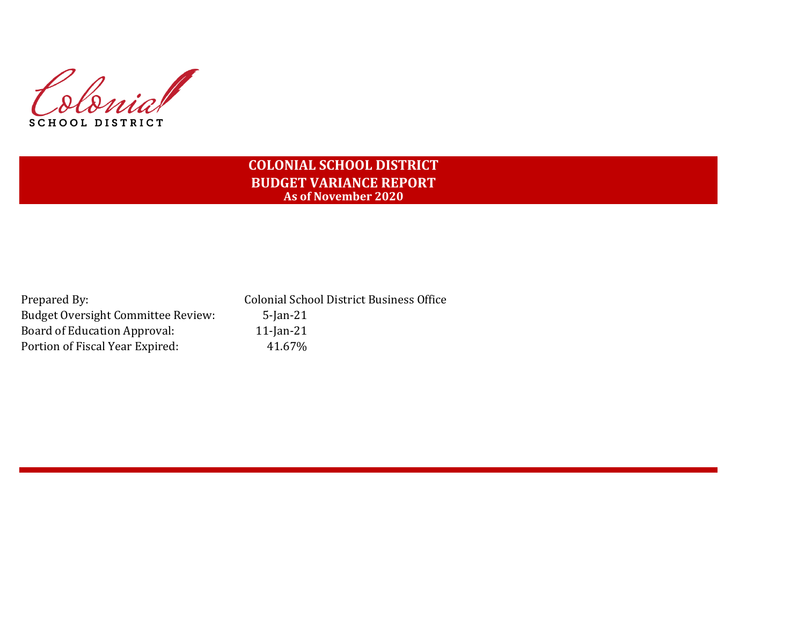Colonial SCHOOL DISTRICT

# **COLONIAL SCHOOL DISTRICT BUDGET VARIANCE REPORT As of November 2020**

| Prepared By:                              | <b>Colonial School District Business Office</b> |
|-------------------------------------------|-------------------------------------------------|
| <b>Budget Oversight Committee Review:</b> | $5$ -Jan-21                                     |
| Board of Education Approval:              | $11$ -Jan-21                                    |
| Portion of Fiscal Year Expired:           | 41.67%                                          |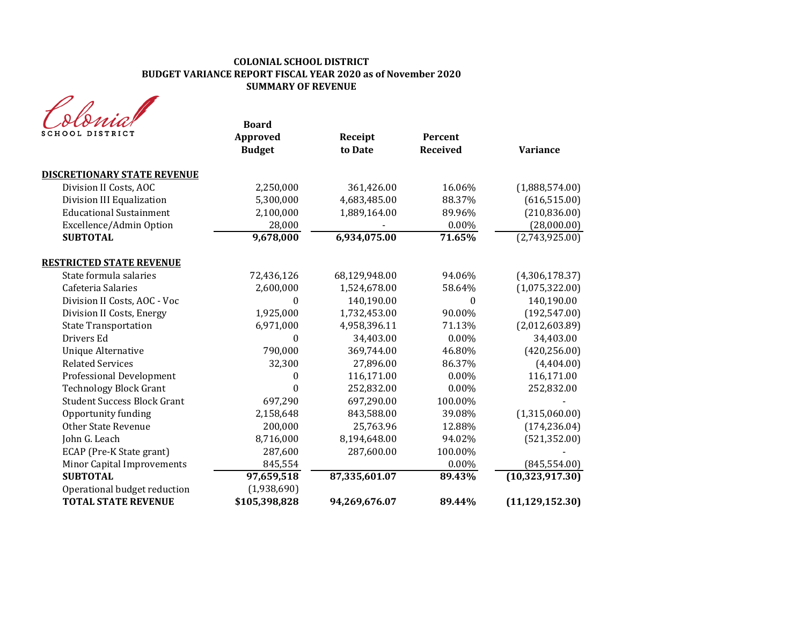| SCHOOL DISTRICT                    | <b>Board</b><br>Approved<br><b>Budget</b> | Receipt<br>to Date | Percent<br><b>Received</b> | <b>Variance</b>   |
|------------------------------------|-------------------------------------------|--------------------|----------------------------|-------------------|
| <b>DISCRETIONARY STATE REVENUE</b> |                                           |                    |                            |                   |
| Division II Costs, AOC             | 2,250,000                                 | 361,426.00         | 16.06%                     | (1,888,574.00)    |
| Division III Equalization          | 5,300,000                                 | 4,683,485.00       | 88.37%                     | (616, 515.00)     |
| <b>Educational Sustainment</b>     | 2,100,000                                 | 1,889,164.00       | 89.96%                     | (210, 836.00)     |
| Excellence/Admin Option            | 28,000                                    |                    | 0.00%                      | (28,000.00)       |
| <b>SUBTOTAL</b>                    | 9,678,000                                 | 6,934,075.00       | 71.65%                     | (2,743,925.00)    |
| <b>RESTRICTED STATE REVENUE</b>    |                                           |                    |                            |                   |
| State formula salaries             | 72,436,126                                | 68,129,948.00      | 94.06%                     | (4,306,178.37)    |
| Cafeteria Salaries                 | 2,600,000                                 | 1,524,678.00       | 58.64%                     | (1,075,322.00)    |
| Division II Costs, AOC - Voc       | $\bf{0}$                                  | 140,190.00         | $\theta$                   | 140,190.00        |
| Division II Costs, Energy          | 1,925,000                                 | 1,732,453.00       | 90.00%                     | (192, 547.00)     |
| <b>State Transportation</b>        | 6,971,000                                 | 4,958,396.11       | 71.13%                     | (2,012,603.89)    |
| Drivers Ed                         | $\Omega$                                  | 34,403.00          | 0.00%                      | 34,403.00         |
| <b>Unique Alternative</b>          | 790,000                                   | 369,744.00         | 46.80%                     | (420, 256.00)     |
| <b>Related Services</b>            | 32,300                                    | 27,896.00          | 86.37%                     | (4,404.00)        |
| <b>Professional Development</b>    | 0                                         | 116,171.00         | $0.00\%$                   | 116,171.00        |
| <b>Technology Block Grant</b>      | $\theta$                                  | 252,832.00         | 0.00%                      | 252,832.00        |
| <b>Student Success Block Grant</b> | 697,290                                   | 697,290.00         | 100.00%                    |                   |
| Opportunity funding                | 2,158,648                                 | 843,588.00         | 39.08%                     | (1,315,060.00)    |
| <b>Other State Revenue</b>         | 200,000                                   | 25,763.96          | 12.88%                     | (174, 236.04)     |
| John G. Leach                      | 8,716,000                                 | 8,194,648.00       | 94.02%                     | (521, 352.00)     |
| ECAP (Pre-K State grant)           | 287,600                                   | 287,600.00         | 100.00%                    |                   |
| Minor Capital Improvements         | 845,554                                   |                    | $0.00\%$                   | (845, 554.00)     |
| <b>SUBTOTAL</b>                    | 97,659,518                                | 87,335,601.07      | 89.43%                     | (10, 323, 917.30) |
| Operational budget reduction       | (1,938,690)                               |                    |                            |                   |
| <b>TOTAL STATE REVENUE</b>         | \$105,398,828                             | 94,269,676.07      | 89.44%                     | (11, 129, 152.30) |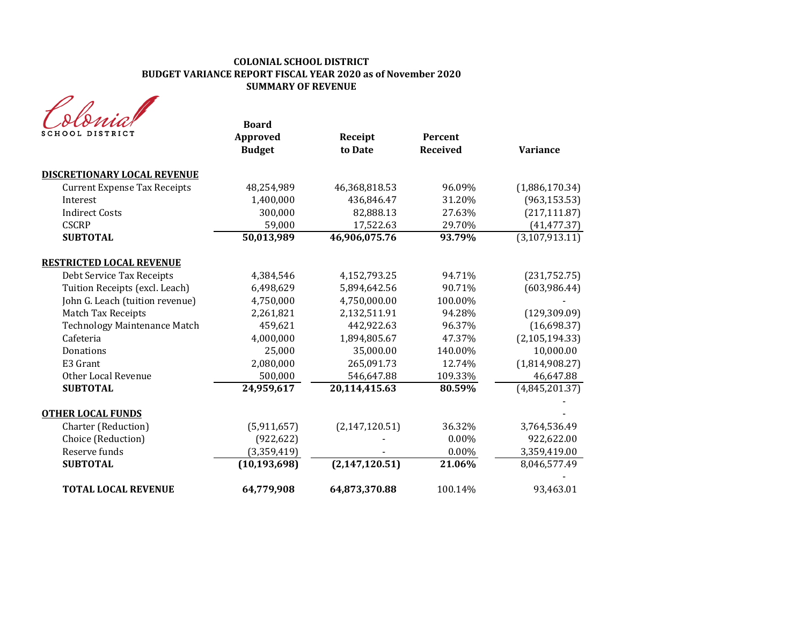| SCHOOL DISTRICT                     | <b>Board</b><br>Approved<br><b>Budget</b> | Receipt<br>to Date | Percent<br><b>Received</b> | <b>Variance</b>  |
|-------------------------------------|-------------------------------------------|--------------------|----------------------------|------------------|
| <b>DISCRETIONARY LOCAL REVENUE</b>  |                                           |                    |                            |                  |
| <b>Current Expense Tax Receipts</b> | 48,254,989                                | 46,368,818.53      | 96.09%                     | (1,886,170.34)   |
| Interest                            | 1,400,000                                 | 436,846.47         | 31.20%                     | (963, 153.53)    |
| <b>Indirect Costs</b>               | 300,000                                   | 82,888.13          | 27.63%                     | (217, 111.87)    |
| <b>CSCRP</b>                        | 59,000                                    | 17,522.63          | 29.70%                     | (41, 477.37)     |
| <b>SUBTOTAL</b>                     | 50,013,989                                | 46,906,075.76      | 93.79%                     | (3, 107, 913.11) |
| <b>RESTRICTED LOCAL REVENUE</b>     |                                           |                    |                            |                  |
| Debt Service Tax Receipts           | 4,384,546                                 | 4,152,793.25       | 94.71%                     | (231, 752.75)    |
| Tuition Receipts (excl. Leach)      | 6,498,629                                 | 5,894,642.56       | 90.71%                     | (603, 986.44)    |
| John G. Leach (tuition revenue)     | 4,750,000                                 | 4,750,000.00       | 100.00%                    |                  |
| Match Tax Receipts                  | 2,261,821                                 | 2,132,511.91       | 94.28%                     | (129, 309.09)    |
| <b>Technology Maintenance Match</b> | 459,621                                   | 442,922.63         | 96.37%                     | (16,698.37)      |
| Cafeteria                           | 4,000,000                                 | 1,894,805.67       | 47.37%                     | (2, 105, 194.33) |
| Donations                           | 25,000                                    | 35,000.00          | 140.00%                    | 10,000.00        |
| E3 Grant                            | 2,080,000                                 | 265,091.73         | 12.74%                     | (1,814,908.27)   |
| <b>Other Local Revenue</b>          | 500,000                                   | 546,647.88         | 109.33%                    | 46,647.88        |
| <b>SUBTOTAL</b>                     | 24,959,617                                | 20,114,415.63      | 80.59%                     | (4,845,201.37)   |
| <b>OTHER LOCAL FUNDS</b>            |                                           |                    |                            |                  |
| Charter (Reduction)                 | (5,911,657)                               | (2, 147, 120.51)   | 36.32%                     | 3,764,536.49     |
| Choice (Reduction)                  | (922, 622)                                |                    | $0.00\%$                   | 922,622.00       |
| Reserve funds                       | (3,359,419)                               |                    | $0.00\%$                   | 3,359,419.00     |
| <b>SUBTOTAL</b>                     | (10, 193, 698)                            | (2, 147, 120.51)   | 21.06%                     | 8,046,577.49     |
| <b>TOTAL LOCAL REVENUE</b>          | 64,779,908                                | 64,873,370.88      | 100.14%                    | 93,463.01        |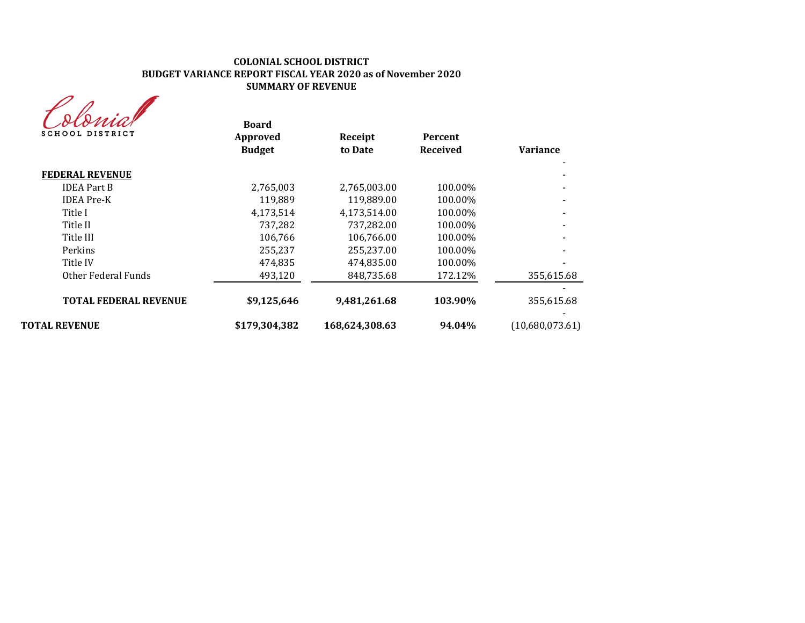| 'swia           |
|-----------------|
| SCHOOL DISTRICT |

| stoniar<br>SCHOOL DISTRICT   | <b>Board</b><br>Approved<br><b>Budget</b> | Receipt<br>to Date | <b>Percent</b><br><b>Received</b> | <b>Variance</b> |
|------------------------------|-------------------------------------------|--------------------|-----------------------------------|-----------------|
| <b>FEDERAL REVENUE</b>       |                                           |                    |                                   |                 |
| <b>IDEA Part B</b>           | 2,765,003                                 | 2,765,003.00       | 100.00%                           |                 |
| <b>IDEA</b> Pre-K            | 119,889                                   | 119,889.00         | 100.00%                           |                 |
| Title I                      | 4.173.514                                 | 4.173.514.00       | 100.00%                           |                 |
| Title II                     | 737,282                                   | 737,282.00         | 100.00%                           |                 |
| Title III                    | 106,766                                   | 106,766.00         | 100.00%                           |                 |
| Perkins                      | 255,237                                   | 255,237.00         | 100.00%                           |                 |
| Title IV                     | 474,835                                   | 474,835.00         | 100.00%                           |                 |
| Other Federal Funds          | 493,120                                   | 848,735.68         | 172.12%                           | 355,615.68      |
| <b>TOTAL FEDERAL REVENUE</b> | \$9,125,646                               | 9,481,261.68       | 103.90%                           | 355,615.68      |
| <b>TOTAL REVENUE</b>         | \$179,304,382                             | 168,624,308.63     | 94.04%                            | (10,680,073.61) |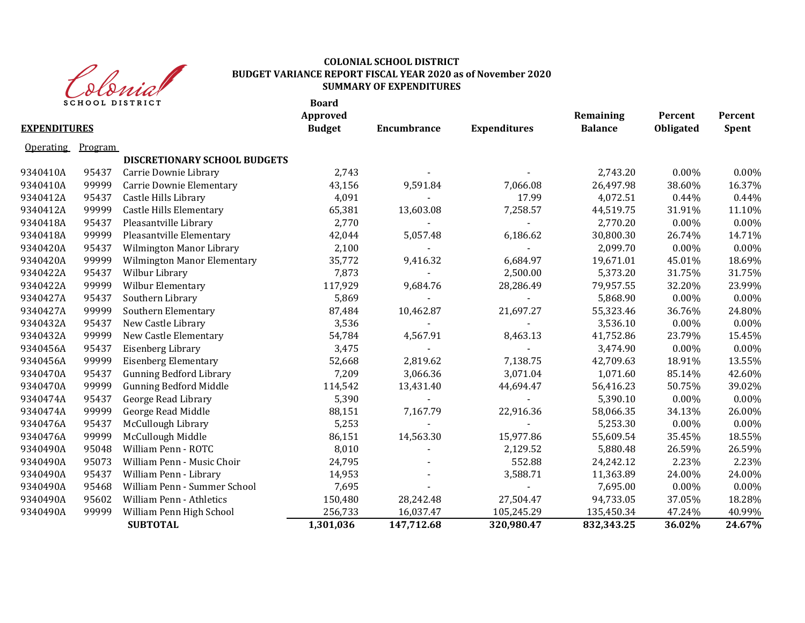

|                     | <b>SCHOOL DISTRICT</b> |                                     | <b>Board</b><br>Approved |             |                     | Remaining      | Percent   | Percent      |
|---------------------|------------------------|-------------------------------------|--------------------------|-------------|---------------------|----------------|-----------|--------------|
| <b>EXPENDITURES</b> |                        |                                     | <b>Budget</b>            | Encumbrance | <b>Expenditures</b> | <b>Balance</b> | Obligated | <b>Spent</b> |
| <b>Operating</b>    | Program                |                                     |                          |             |                     |                |           |              |
|                     |                        | <b>DISCRETIONARY SCHOOL BUDGETS</b> |                          |             |                     |                |           |              |
| 9340410A            | 95437                  | Carrie Downie Library               | 2,743                    |             |                     | 2,743.20       | 0.00%     | 0.00%        |
| 9340410A            | 99999                  | Carrie Downie Elementary            | 43,156                   | 9,591.84    | 7,066.08            | 26,497.98      | 38.60%    | 16.37%       |
| 9340412A            | 95437                  | Castle Hills Library                | 4,091                    |             | 17.99               | 4,072.51       | 0.44%     | 0.44%        |
| 9340412A            | 99999                  | <b>Castle Hills Elementary</b>      | 65,381                   | 13,603.08   | 7,258.57            | 44,519.75      | 31.91%    | 11.10%       |
| 9340418A            | 95437                  | Pleasantville Library               | 2,770                    |             |                     | 2,770.20       | 0.00%     | $0.00\%$     |
| 9340418A            | 99999                  | Pleasantville Elementary            | 42,044                   | 5,057.48    | 6,186.62            | 30,800.30      | 26.74%    | 14.71%       |
| 9340420A            | 95437                  | Wilmington Manor Library            | 2,100                    |             |                     | 2,099.70       | 0.00%     | 0.00%        |
| 9340420A            | 99999                  | Wilmington Manor Elementary         | 35,772                   | 9,416.32    | 6,684.97            | 19,671.01      | 45.01%    | 18.69%       |
| 9340422A            | 95437                  | Wilbur Library                      | 7,873                    |             | 2,500.00            | 5,373.20       | 31.75%    | 31.75%       |
| 9340422A            | 99999                  | Wilbur Elementary                   | 117,929                  | 9,684.76    | 28,286.49           | 79,957.55      | 32.20%    | 23.99%       |
| 9340427A            | 95437                  | Southern Library                    | 5,869                    |             | $\blacksquare$      | 5,868.90       | 0.00%     | 0.00%        |
| 9340427A            | 99999                  | Southern Elementary                 | 87,484                   | 10,462.87   | 21,697.27           | 55,323.46      | 36.76%    | 24.80%       |
| 9340432A            | 95437                  | New Castle Library                  | 3,536                    |             |                     | 3,536.10       | 0.00%     | 0.00%        |
| 9340432A            | 99999                  | New Castle Elementary               | 54,784                   | 4,567.91    | 8,463.13            | 41,752.86      | 23.79%    | 15.45%       |
| 9340456A            | 95437                  | Eisenberg Library                   | 3,475                    |             |                     | 3,474.90       | 0.00%     | $0.00\%$     |
| 9340456A            | 99999                  | <b>Eisenberg Elementary</b>         | 52,668                   | 2,819.62    | 7,138.75            | 42,709.63      | 18.91%    | 13.55%       |
| 9340470A            | 95437                  | <b>Gunning Bedford Library</b>      | 7,209                    | 3,066.36    | 3,071.04            | 1,071.60       | 85.14%    | 42.60%       |
| 9340470A            | 99999                  | <b>Gunning Bedford Middle</b>       | 114,542                  | 13,431.40   | 44,694.47           | 56,416.23      | 50.75%    | 39.02%       |
| 9340474A            | 95437                  | George Read Library                 | 5,390                    |             |                     | 5,390.10       | 0.00%     | $0.00\%$     |
| 9340474A            | 99999                  | George Read Middle                  | 88,151                   | 7,167.79    | 22,916.36           | 58,066.35      | 34.13%    | 26.00%       |
| 9340476A            | 95437                  | McCullough Library                  | 5,253                    |             |                     | 5,253.30       | 0.00%     | 0.00%        |
| 9340476A            | 99999                  | McCullough Middle                   | 86,151                   | 14,563.30   | 15,977.86           | 55,609.54      | 35.45%    | 18.55%       |
| 9340490A            | 95048                  | William Penn - ROTC                 | 8,010                    |             | 2,129.52            | 5,880.48       | 26.59%    | 26.59%       |
| 9340490A            | 95073                  | William Penn - Music Choir          | 24,795                   |             | 552.88              | 24,242.12      | 2.23%     | 2.23%        |
| 9340490A            | 95437                  | William Penn - Library              | 14,953                   |             | 3,588.71            | 11,363.89      | 24.00%    | 24.00%       |
| 9340490A            | 95468                  | William Penn - Summer School        | 7,695                    |             |                     | 7,695.00       | 0.00%     | 0.00%        |
| 9340490A            | 95602                  | <b>William Penn - Athletics</b>     | 150,480                  | 28,242.48   | 27,504.47           | 94,733.05      | 37.05%    | 18.28%       |
| 9340490A            | 99999                  | William Penn High School            | 256,733                  | 16,037.47   | 105,245.29          | 135,450.34     | 47.24%    | 40.99%       |
|                     |                        | <b>SUBTOTAL</b>                     | 1,301,036                | 147,712.68  | 320,980.47          | 832,343.25     | 36.02%    | 24.67%       |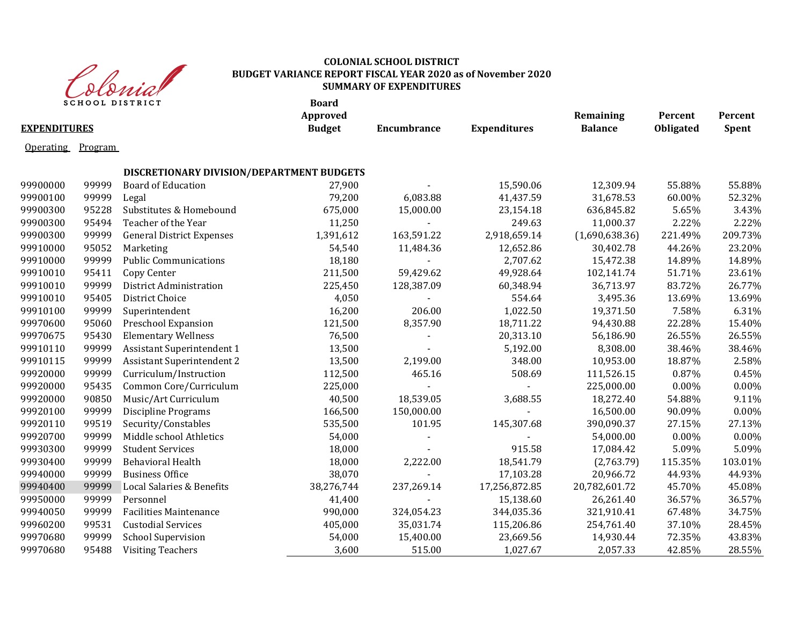

|                     | <b>SCHOOL DISTRICT</b> | $\mathbf{v} \mathbf{v} \mathbf{v} \mathbf{v} \mathbf{v} \mathbf{v}$ | <b>Board</b><br>Approved |                |                     | Remaining      | Percent          | Percent      |
|---------------------|------------------------|---------------------------------------------------------------------|--------------------------|----------------|---------------------|----------------|------------------|--------------|
| <b>EXPENDITURES</b> |                        |                                                                     | <b>Budget</b>            | Encumbrance    | <b>Expenditures</b> | <b>Balance</b> | <b>Obligated</b> | <b>Spent</b> |
| <b>Operating</b>    | Program                |                                                                     |                          |                |                     |                |                  |              |
|                     |                        | DISCRETIONARY DIVISION/DEPARTMENT BUDGETS                           |                          |                |                     |                |                  |              |
| 99900000            | 99999                  | <b>Board of Education</b>                                           | 27,900                   |                | 15,590.06           | 12,309.94      | 55.88%           | 55.88%       |
| 99900100            | 99999                  | Legal                                                               | 79,200                   | 6,083.88       | 41,437.59           | 31,678.53      | 60.00%           | 52.32%       |
| 99900300            | 95228                  | Substitutes & Homebound                                             | 675,000                  | 15,000.00      | 23,154.18           | 636,845.82     | 5.65%            | 3.43%        |
| 99900300            | 95494                  | Teacher of the Year                                                 | 11,250                   | $\sim$         | 249.63              | 11,000.37      | 2.22%            | 2.22%        |
| 99900300            | 99999                  | <b>General District Expenses</b>                                    | 1,391,612                | 163,591.22     | 2,918,659.14        | (1,690,638.36) | 221.49%          | 209.73%      |
| 99910000            | 95052                  | Marketing                                                           | 54,540                   | 11,484.36      | 12,652.86           | 30,402.78      | 44.26%           | 23.20%       |
| 99910000            | 99999                  | <b>Public Communications</b>                                        | 18,180                   | $\blacksquare$ | 2,707.62            | 15,472.38      | 14.89%           | 14.89%       |
| 99910010            | 95411                  | Copy Center                                                         | 211,500                  | 59,429.62      | 49,928.64           | 102,141.74     | 51.71%           | 23.61%       |
| 99910010            | 99999                  | District Administration                                             | 225,450                  | 128,387.09     | 60,348.94           | 36,713.97      | 83.72%           | 26.77%       |
| 99910010            | 95405                  | District Choice                                                     | 4,050                    |                | 554.64              | 3,495.36       | 13.69%           | 13.69%       |
| 99910100            | 99999                  | Superintendent                                                      | 16,200                   | 206.00         | 1,022.50            | 19,371.50      | 7.58%            | 6.31%        |
| 99970600            | 95060                  | Preschool Expansion                                                 | 121,500                  | 8,357.90       | 18,711.22           | 94,430.88      | 22.28%           | 15.40%       |
| 99970675            | 95430                  | <b>Elementary Wellness</b>                                          | 76,500                   |                | 20,313.10           | 56,186.90      | 26.55%           | 26.55%       |
| 99910110            | 99999                  | Assistant Superintendent 1                                          | 13,500                   |                | 5,192.00            | 8,308.00       | 38.46%           | 38.46%       |
| 99910115            | 99999                  | Assistant Superintendent 2                                          | 13,500                   | 2,199.00       | 348.00              | 10,953.00      | 18.87%           | 2.58%        |
| 99920000            | 99999                  | Curriculum/Instruction                                              | 112,500                  | 465.16         | 508.69              | 111,526.15     | 0.87%            | 0.45%        |
| 99920000            | 95435                  | Common Core/Curriculum                                              | 225,000                  | $\blacksquare$ |                     | 225,000.00     | 0.00%            | 0.00%        |
| 99920000            | 90850                  | Music/Art Curriculum                                                | 40,500                   | 18,539.05      | 3,688.55            | 18,272.40      | 54.88%           | 9.11%        |
| 99920100            | 99999                  | <b>Discipline Programs</b>                                          | 166,500                  | 150,000.00     |                     | 16,500.00      | 90.09%           | 0.00%        |
| 99920110            | 99519                  | Security/Constables                                                 | 535,500                  | 101.95         | 145,307.68          | 390,090.37     | 27.15%           | 27.13%       |
| 99920700            | 99999                  | Middle school Athletics                                             | 54,000                   | $\blacksquare$ |                     | 54,000.00      | 0.00%            | 0.00%        |
| 99930300            | 99999                  | <b>Student Services</b>                                             | 18,000                   |                | 915.58              | 17,084.42      | 5.09%            | 5.09%        |
| 99930400            | 99999                  | Behavioral Health                                                   | 18,000                   | 2,222.00       | 18,541.79           | (2,763.79)     | 115.35%          | 103.01%      |
| 99940000            | 99999                  | <b>Business Office</b>                                              | 38,070                   | $\blacksquare$ | 17,103.28           | 20,966.72      | 44.93%           | 44.93%       |
| 99940400            | 99999                  | Local Salaries & Benefits                                           | 38,276,744               | 237,269.14     | 17,256,872.85       | 20,782,601.72  | 45.70%           | 45.08%       |
| 99950000            | 99999                  | Personnel                                                           | 41,400                   | $\sim$         | 15,138.60           | 26,261.40      | 36.57%           | 36.57%       |
| 99940050            | 99999                  | <b>Facilities Maintenance</b>                                       | 990,000                  | 324,054.23     | 344,035.36          | 321,910.41     | 67.48%           | 34.75%       |
| 99960200            | 99531                  | <b>Custodial Services</b>                                           | 405,000                  | 35,031.74      | 115,206.86          | 254,761.40     | 37.10%           | 28.45%       |
| 99970680            | 99999                  | <b>School Supervision</b>                                           | 54,000                   | 15,400.00      | 23,669.56           | 14,930.44      | 72.35%           | 43.83%       |
| 99970680            | 95488                  | <b>Visiting Teachers</b>                                            | 3,600                    | 515.00         | 1,027.67            | 2,057.33       | 42.85%           | 28.55%       |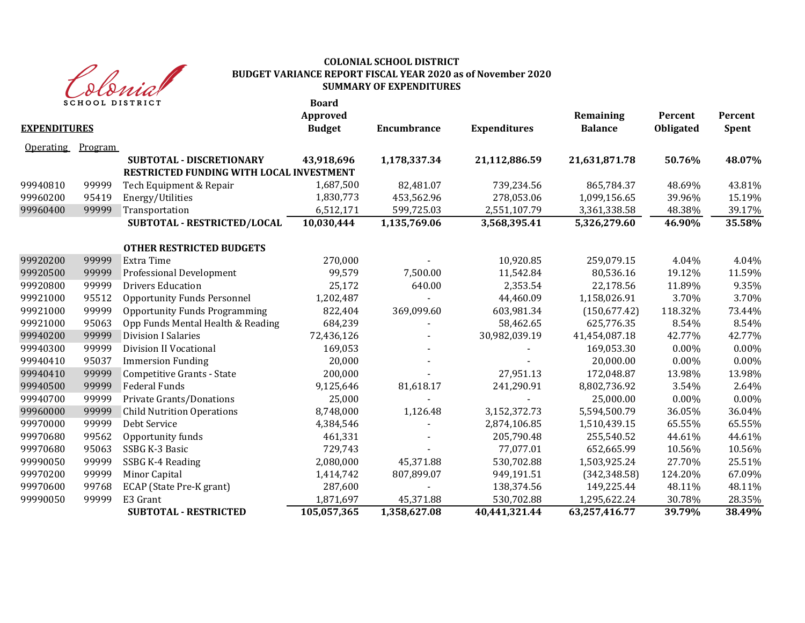

| <b>EXPENDITURES</b> | <b>SCHOOL DISTRICT</b> |                                          | <b>Board</b><br>Approved<br><b>Budget</b> | Encumbrance  | <b>Expenditures</b> | Remaining<br><b>Balance</b> | Percent<br><b>Obligated</b> | Percent<br>Spent |
|---------------------|------------------------|------------------------------------------|-------------------------------------------|--------------|---------------------|-----------------------------|-----------------------------|------------------|
| <b>Operating</b>    | <b>Program</b>         |                                          |                                           |              |                     |                             |                             |                  |
|                     |                        | <b>SUBTOTAL - DISCRETIONARY</b>          | 43,918,696                                | 1,178,337.34 | 21,112,886.59       | 21,631,871.78               | 50.76%                      | 48.07%           |
|                     |                        | RESTRICTED FUNDING WITH LOCAL INVESTMENT |                                           |              |                     |                             |                             |                  |
| 99940810            | 99999                  | Tech Equipment & Repair                  | 1,687,500                                 | 82,481.07    | 739,234.56          | 865,784.37                  | 48.69%                      | 43.81%           |
| 99960200            | 95419                  | Energy/Utilities                         | 1,830,773                                 | 453,562.96   | 278,053.06          | 1,099,156.65                | 39.96%                      | 15.19%           |
| 99960400            | 99999                  | Transportation                           | 6,512,171                                 | 599,725.03   | 2,551,107.79        | 3,361,338.58                | 48.38%                      | 39.17%           |
|                     |                        | SUBTOTAL - RESTRICTED/LOCAL              | 10,030,444                                | 1,135,769.06 | 3,568,395.41        | 5,326,279.60                | 46.90%                      | 35.58%           |
|                     |                        | <b>OTHER RESTRICTED BUDGETS</b>          |                                           |              |                     |                             |                             |                  |
| 99920200            | 99999                  | <b>Extra Time</b>                        | 270,000                                   |              | 10,920.85           | 259,079.15                  | 4.04%                       | 4.04%            |
| 99920500            | 99999                  | Professional Development                 | 99,579                                    | 7,500.00     | 11,542.84           | 80,536.16                   | 19.12%                      | 11.59%           |
| 99920800            | 99999                  | <b>Drivers Education</b>                 | 25,172                                    | 640.00       | 2,353.54            | 22,178.56                   | 11.89%                      | 9.35%            |
| 99921000            | 95512                  | <b>Opportunity Funds Personnel</b>       | 1,202,487                                 |              | 44,460.09           | 1,158,026.91                | 3.70%                       | 3.70%            |
| 99921000            | 99999                  | <b>Opportunity Funds Programming</b>     | 822,404                                   | 369,099.60   | 603,981.34          | (150, 677.42)               | 118.32%                     | 73.44%           |
| 99921000            | 95063                  | Opp Funds Mental Health & Reading        | 684,239                                   |              | 58,462.65           | 625,776.35                  | 8.54%                       | 8.54%            |
| 99940200            | 99999                  | <b>Division I Salaries</b>               | 72,436,126                                |              | 30,982,039.19       | 41,454,087.18               | 42.77%                      | 42.77%           |
| 99940300            | 99999                  | <b>Division II Vocational</b>            | 169,053                                   |              |                     | 169,053.30                  | 0.00%                       | 0.00%            |
| 99940410            | 95037                  | <b>Immersion Funding</b>                 | 20,000                                    |              |                     | 20,000.00                   | 0.00%                       | 0.00%            |
| 99940410            | 99999                  | Competitive Grants - State               | 200,000                                   |              | 27,951.13           | 172,048.87                  | 13.98%                      | 13.98%           |
| 99940500            | 99999                  | <b>Federal Funds</b>                     | 9,125,646                                 | 81,618.17    | 241,290.91          | 8,802,736.92                | 3.54%                       | 2.64%            |
| 99940700            | 99999                  | Private Grants/Donations                 | 25,000                                    |              |                     | 25,000.00                   | 0.00%                       | 0.00%            |
| 99960000            | 99999                  | <b>Child Nutrition Operations</b>        | 8,748,000                                 | 1,126.48     | 3,152,372.73        | 5,594,500.79                | 36.05%                      | 36.04%           |
| 99970000            | 99999                  | Debt Service                             | 4,384,546                                 |              | 2,874,106.85        | 1,510,439.15                | 65.55%                      | 65.55%           |
| 99970680            | 99562                  | Opportunity funds                        | 461,331                                   |              | 205,790.48          | 255,540.52                  | 44.61%                      | 44.61%           |
| 99970680            | 95063                  | SSBG K-3 Basic                           | 729,743                                   |              | 77,077.01           | 652,665.99                  | 10.56%                      | 10.56%           |
| 99990050            | 99999                  | SSBG K-4 Reading                         | 2,080,000                                 | 45,371.88    | 530,702.88          | 1,503,925.24                | 27.70%                      | 25.51%           |
| 99970200            | 99999                  | Minor Capital                            | 1,414,742                                 | 807,899.07   | 949,191.51          | (342, 348.58)               | 124.20%                     | 67.09%           |
| 99970600            | 99768                  | ECAP (State Pre-K grant)                 | 287,600                                   |              | 138,374.56          | 149,225.44                  | 48.11%                      | 48.11%           |
| 99990050            | 99999                  | E3 Grant                                 | 1,871,697                                 | 45,371.88    | 530,702.88          | 1,295,622.24                | 30.78%                      | 28.35%           |
|                     |                        | <b>SUBTOTAL - RESTRICTED</b>             | 105,057,365                               | 1,358,627.08 | 40,441,321.44       | 63,257,416.77               | 39.79%                      | 38.49%           |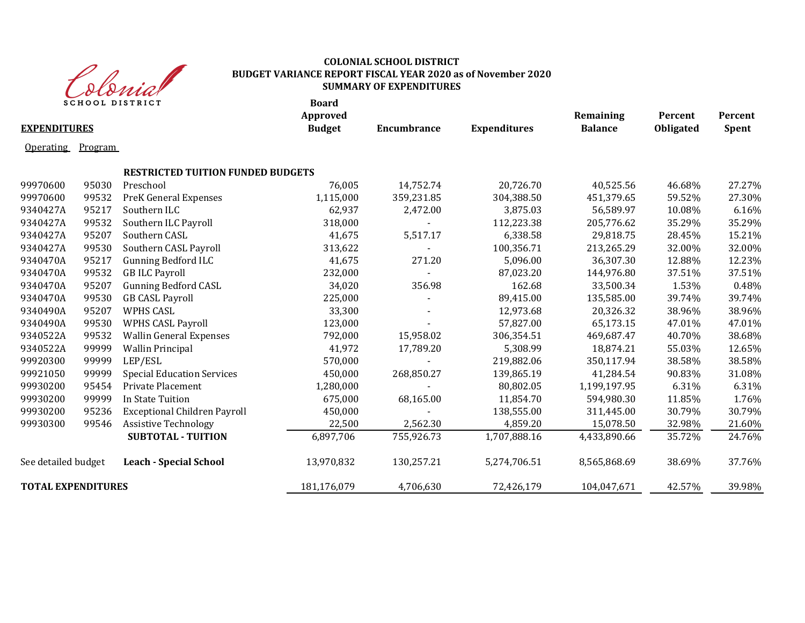

|                           |                | <b>SCHOOL DISTRICT</b>                   | <b>Board</b><br>Approved |                    |                     | Remaining      | Percent   | Percent |
|---------------------------|----------------|------------------------------------------|--------------------------|--------------------|---------------------|----------------|-----------|---------|
| <b>EXPENDITURES</b>       |                |                                          | <b>Budget</b>            | <b>Encumbrance</b> | <b>Expenditures</b> | <b>Balance</b> | Obligated | Spent   |
| <b>Operating</b>          | <b>Program</b> |                                          |                          |                    |                     |                |           |         |
|                           |                | <b>RESTRICTED TUITION FUNDED BUDGETS</b> |                          |                    |                     |                |           |         |
| 99970600                  | 95030          | Preschool                                | 76,005                   | 14,752.74          | 20,726.70           | 40,525.56      | 46.68%    | 27.27%  |
| 99970600                  | 99532          | <b>PreK General Expenses</b>             | 1,115,000                | 359,231.85         | 304,388.50          | 451,379.65     | 59.52%    | 27.30%  |
| 9340427A                  | 95217          | Southern ILC                             | 62,937                   | 2,472.00           | 3,875.03            | 56,589.97      | 10.08%    | 6.16%   |
| 9340427A                  | 99532          | Southern ILC Payroll                     | 318,000                  |                    | 112,223.38          | 205,776.62     | 35.29%    | 35.29%  |
| 9340427A                  | 95207          | Southern CASL                            | 41,675                   | 5,517.17           | 6,338.58            | 29,818.75      | 28.45%    | 15.21%  |
| 9340427A                  | 99530          | Southern CASL Payroll                    | 313,622                  |                    | 100,356.71          | 213,265.29     | 32.00%    | 32.00%  |
| 9340470A                  | 95217          | <b>Gunning Bedford ILC</b>               | 41,675                   | 271.20             | 5,096.00            | 36,307.30      | 12.88%    | 12.23%  |
| 9340470A                  | 99532          | <b>GB ILC Payroll</b>                    | 232,000                  |                    | 87,023.20           | 144,976.80     | 37.51%    | 37.51%  |
| 9340470A                  | 95207          | <b>Gunning Bedford CASL</b>              | 34,020                   | 356.98             | 162.68              | 33,500.34      | 1.53%     | 0.48%   |
| 9340470A                  | 99530          | <b>GB CASL Payroll</b>                   | 225,000                  |                    | 89,415.00           | 135,585.00     | 39.74%    | 39.74%  |
| 9340490A                  | 95207          | <b>WPHS CASL</b>                         | 33,300                   |                    | 12,973.68           | 20,326.32      | 38.96%    | 38.96%  |
| 9340490A                  | 99530          | <b>WPHS CASL Payroll</b>                 | 123,000                  | $\blacksquare$     | 57,827.00           | 65,173.15      | 47.01%    | 47.01%  |
| 9340522A                  | 99532          | <b>Wallin General Expenses</b>           | 792,000                  | 15,958.02          | 306,354.51          | 469,687.47     | 40.70%    | 38.68%  |
| 9340522A                  | 99999          | <b>Wallin Principal</b>                  | 41,972                   | 17,789.20          | 5,308.99            | 18,874.21      | 55.03%    | 12.65%  |
| 99920300                  | 99999          | LEP/ESL                                  | 570,000                  |                    | 219,882.06          | 350,117.94     | 38.58%    | 38.58%  |
| 99921050                  | 99999          | <b>Special Education Services</b>        | 450,000                  | 268,850.27         | 139,865.19          | 41,284.54      | 90.83%    | 31.08%  |
| 99930200                  | 95454          | Private Placement                        | 1,280,000                |                    | 80,802.05           | 1,199,197.95   | 6.31%     | 6.31%   |
| 99930200                  | 99999          | In State Tuition                         | 675,000                  | 68,165.00          | 11,854.70           | 594,980.30     | 11.85%    | 1.76%   |
| 99930200                  | 95236          | <b>Exceptional Children Payroll</b>      | 450,000                  |                    | 138,555.00          | 311,445.00     | 30.79%    | 30.79%  |
| 99930300                  | 99546          | <b>Assistive Technology</b>              | 22,500                   | 2,562.30           | 4,859.20            | 15,078.50      | 32.98%    | 21.60%  |
|                           |                | <b>SUBTOTAL - TUITION</b>                | 6,897,706                | 755,926.73         | 1,707,888.16        | 4,433,890.66   | 35.72%    | 24.76%  |
| See detailed budget       |                | <b>Leach - Special School</b>            | 13,970,832               | 130,257.21         | 5,274,706.51        | 8,565,868.69   | 38.69%    | 37.76%  |
| <b>TOTAL EXPENDITURES</b> |                |                                          | 181,176,079              | 4,706,630          | 72,426,179          | 104,047,671    | 42.57%    | 39.98%  |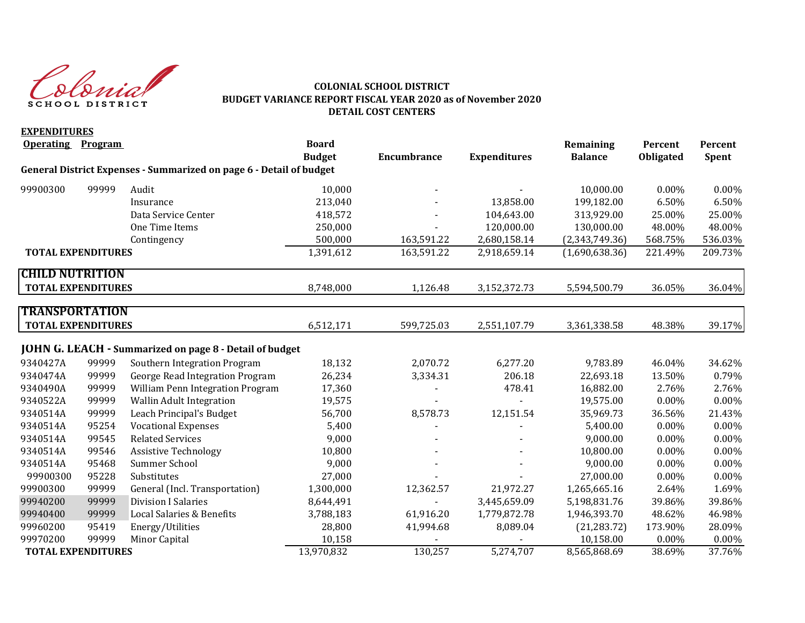Slovist SCHOOL DISTRICT

## **COLONIAL SCHOOL DISTRICT BUDGET VARIANCE REPORT FISCAL YEAR 2020 as of November 2020 DETAIL COST CENTERS**

| <b>EXPENDITURES</b>       |       |                                                                     |               |                    |                     |                |                  |          |
|---------------------------|-------|---------------------------------------------------------------------|---------------|--------------------|---------------------|----------------|------------------|----------|
| <b>Operating Program</b>  |       |                                                                     | <b>Board</b>  |                    |                     | Remaining      | Percent          | Percent  |
|                           |       |                                                                     | <b>Budget</b> | <b>Encumbrance</b> | <b>Expenditures</b> | <b>Balance</b> | <b>Obligated</b> | Spent    |
|                           |       | General District Expenses - Summarized on page 6 - Detail of budget |               |                    |                     |                |                  |          |
| 99900300                  | 99999 | Audit                                                               | 10,000        |                    |                     | 10,000.00      | 0.00%            | 0.00%    |
|                           |       | Insurance                                                           | 213,040       |                    | 13,858.00           | 199,182.00     | 6.50%            | 6.50%    |
|                           |       | Data Service Center                                                 | 418,572       |                    | 104,643.00          | 313,929.00     | 25.00%           | 25.00%   |
|                           |       | One Time Items                                                      | 250,000       |                    | 120,000.00          | 130,000.00     | 48.00%           | 48.00%   |
|                           |       | Contingency                                                         | 500,000       | 163,591.22         | 2,680,158.14        | (2,343,749.36) | 568.75%          | 536.03%  |
| <b>TOTAL EXPENDITURES</b> |       |                                                                     | 1,391,612     | 163,591.22         | 2,918,659.14        | (1,690,638.36) | 221.49%          | 209.73%  |
| <b>CHILD NUTRITION</b>    |       |                                                                     |               |                    |                     |                |                  |          |
| <b>TOTAL EXPENDITURES</b> |       |                                                                     | 8,748,000     | 1,126.48           | 3,152,372.73        | 5,594,500.79   | 36.05%           | 36.04%   |
| <b>TRANSPORTATION</b>     |       |                                                                     |               |                    |                     |                |                  |          |
|                           |       |                                                                     |               |                    |                     |                |                  |          |
| <b>TOTAL EXPENDITURES</b> |       |                                                                     | 6,512,171     | 599,725.03         | 2,551,107.79        | 3,361,338.58   | 48.38%           | 39.17%   |
|                           |       | <b>JOHN G. LEACH - Summarized on page 8 - Detail of budget</b>      |               |                    |                     |                |                  |          |
| 9340427A                  | 99999 | Southern Integration Program                                        | 18,132        | 2,070.72           | 6,277.20            | 9,783.89       | 46.04%           | 34.62%   |
| 9340474A                  | 99999 | George Read Integration Program                                     | 26,234        | 3,334.31           | 206.18              | 22,693.18      | 13.50%           | 0.79%    |
| 9340490A                  | 99999 | William Penn Integration Program                                    | 17,360        |                    | 478.41              | 16,882.00      | 2.76%            | 2.76%    |
| 9340522A                  | 99999 | Wallin Adult Integration                                            | 19,575        |                    |                     | 19,575.00      | 0.00%            | 0.00%    |
| 9340514A                  | 99999 | Leach Principal's Budget                                            | 56,700        | 8,578.73           | 12,151.54           | 35,969.73      | 36.56%           | 21.43%   |
| 9340514A                  | 95254 | <b>Vocational Expenses</b>                                          | 5,400         |                    |                     | 5,400.00       | $0.00\%$         | $0.00\%$ |
| 9340514A                  | 99545 | <b>Related Services</b>                                             | 9,000         |                    |                     | 9,000.00       | 0.00%            | 0.00%    |
| 9340514A                  | 99546 | <b>Assistive Technology</b>                                         | 10,800        |                    |                     | 10,800.00      | 0.00%            | 0.00%    |
| 9340514A                  | 95468 | Summer School                                                       | 9,000         |                    |                     | 9,000.00       | 0.00%            | 0.00%    |
| 99900300                  | 95228 | Substitutes                                                         | 27,000        |                    |                     | 27,000.00      | 0.00%            | 0.00%    |
| 99900300                  | 99999 | General (Incl. Transportation)                                      | 1,300,000     | 12,362.57          | 21,972.27           | 1,265,665.16   | 2.64%            | 1.69%    |
| 99940200                  | 99999 | <b>Division I Salaries</b>                                          | 8,644,491     |                    | 3,445,659.09        | 5,198,831.76   | 39.86%           | 39.86%   |
| 99940400                  | 99999 | Local Salaries & Benefits                                           | 3,788,183     | 61,916.20          | 1,779,872.78        | 1,946,393.70   | 48.62%           | 46.98%   |
| 99960200                  | 95419 | Energy/Utilities                                                    | 28,800        | 41,994.68          | 8,089.04            | (21, 283.72)   | 173.90%          | 28.09%   |
| 99970200                  | 99999 | Minor Capital                                                       | 10,158        |                    |                     | 10,158.00      | $0.00\%$         | $0.00\%$ |
| <b>TOTAL EXPENDITURES</b> |       |                                                                     | 13,970,832    | 130,257            | 5,274,707           | 8,565,868.69   | 38.69%           | 37.76%   |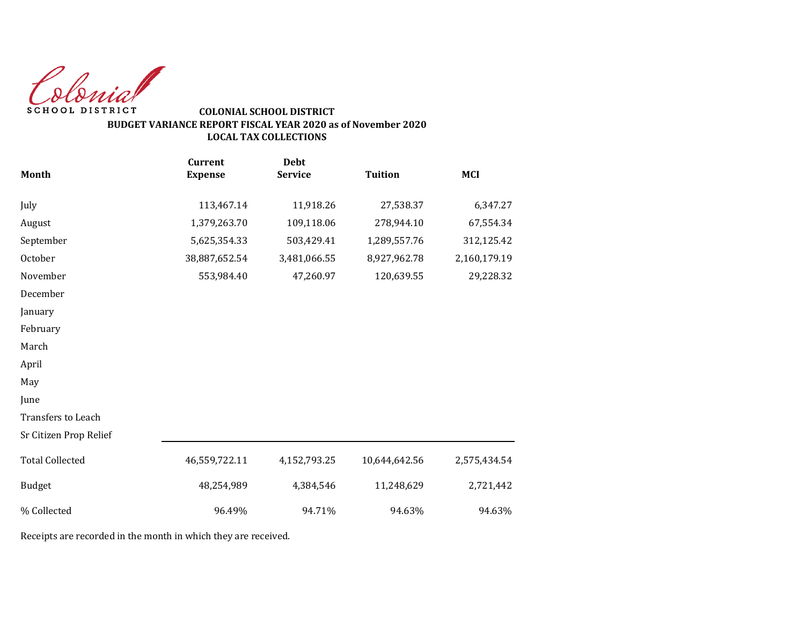Colonial SCHOOL DISTRICT

# **COLONIAL SCHOOL DISTRICT BUDGET VARIANCE REPORT FISCAL YEAR 2020 as of November 2020 LOCAL TAX COLLECTIONS**

|                        | <b>Current</b> | <b>Debt</b>    |                |              |
|------------------------|----------------|----------------|----------------|--------------|
| <b>Month</b>           | <b>Expense</b> | <b>Service</b> | <b>Tuition</b> | <b>MCI</b>   |
| July                   | 113,467.14     | 11,918.26      | 27,538.37      | 6,347.27     |
| August                 | 1,379,263.70   | 109,118.06     | 278,944.10     | 67,554.34    |
| September              | 5,625,354.33   | 503,429.41     | 1,289,557.76   | 312,125.42   |
| October                | 38,887,652.54  | 3,481,066.55   | 8,927,962.78   | 2,160,179.19 |
| November               | 553,984.40     | 47,260.97      | 120,639.55     | 29,228.32    |
| December               |                |                |                |              |
| January                |                |                |                |              |
| February               |                |                |                |              |
| March                  |                |                |                |              |
| April                  |                |                |                |              |
| May                    |                |                |                |              |
| June                   |                |                |                |              |
| Transfers to Leach     |                |                |                |              |
| Sr Citizen Prop Relief |                |                |                |              |
| <b>Total Collected</b> | 46,559,722.11  | 4,152,793.25   | 10,644,642.56  | 2,575,434.54 |
| <b>Budget</b>          | 48,254,989     | 4,384,546      | 11,248,629     | 2,721,442    |
| % Collected            | 96.49%         | 94.71%         | 94.63%         | 94.63%       |

Receipts are recorded in the month in which they are received.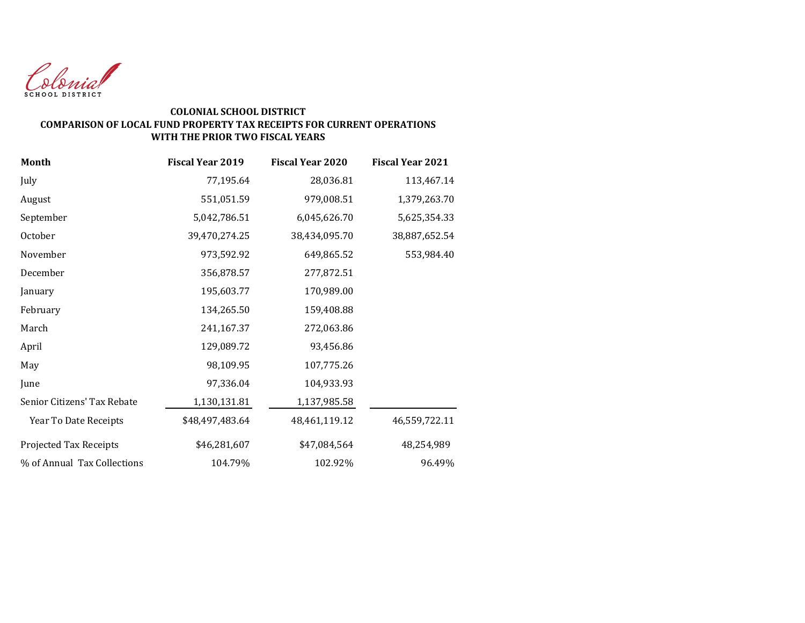

## **COLONIAL SCHOOL DISTRICT COMPARISON OF LOCAL FUND PROPERTY TAX RECEIPTS FOR CURRENT OPERATIONS WITH THE PRIOR TWO FISCAL YEARS**

| <b>Month</b>                | <b>Fiscal Year 2019</b> | <b>Fiscal Year 2020</b> | <b>Fiscal Year 2021</b> |
|-----------------------------|-------------------------|-------------------------|-------------------------|
| July                        | 77,195.64               | 28,036.81               | 113,467.14              |
| August                      | 551,051.59              | 979,008.51              | 1,379,263.70            |
| September                   | 5,042,786.51            | 6,045,626.70            | 5,625,354.33            |
| October                     | 39,470,274.25           | 38,434,095.70           | 38,887,652.54           |
| November                    | 973,592.92              | 649,865.52              | 553,984.40              |
| December                    | 356,878.57              | 277,872.51              |                         |
| January                     | 195,603.77              | 170,989.00              |                         |
| February                    | 134,265.50              | 159,408.88              |                         |
| March                       | 241,167.37              | 272,063.86              |                         |
| April                       | 129,089.72              | 93,456.86               |                         |
| May                         | 98,109.95               | 107,775.26              |                         |
| June                        | 97,336.04               | 104,933.93              |                         |
| Senior Citizens' Tax Rebate | 1,130,131.81            | 1,137,985.58            |                         |
| Year To Date Receipts       | \$48,497,483.64         | 48,461,119.12           | 46,559,722.11           |
| Projected Tax Receipts      | \$46,281,607            | \$47,084,564            | 48,254,989              |
| % of Annual Tax Collections | 104.79%                 | 102.92%                 | 96.49%                  |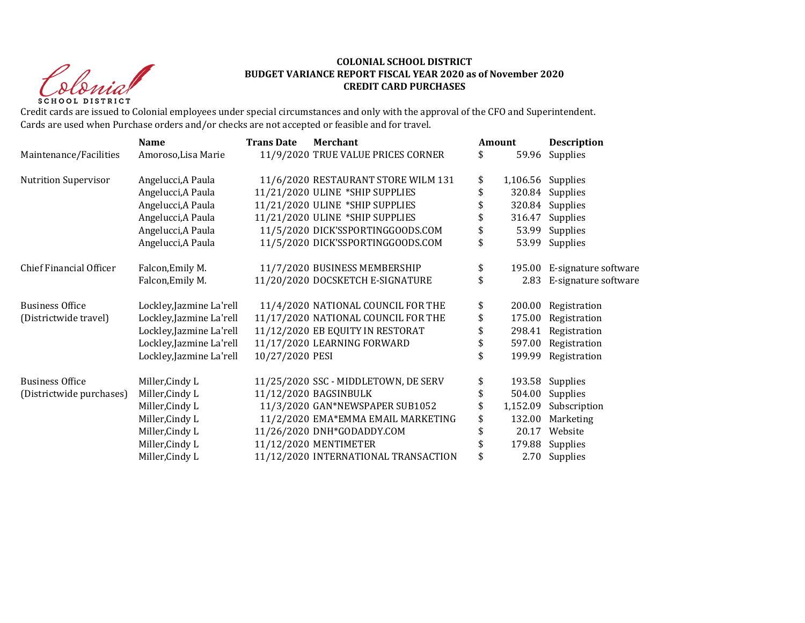Christ **SCHOOL DISTRICT** 

#### **COLONIAL SCHOOL DISTRICT BUDGET VARIANCE REPORT FISCAL YEAR 2020 as of November 2020 CREDIT CARD PURCHASES**

Credit cards are issued to Colonial employees under special circumstances and only with the approval of the CFO and Superintendent. Cards are used when Purchase orders and/or checks are not accepted or feasible and for travel.

|                                | <b>Name</b>              | <b>Trans Date</b> | <b>Merchant</b>                      |    | Amount   | <b>Description</b>   |  |
|--------------------------------|--------------------------|-------------------|--------------------------------------|----|----------|----------------------|--|
| Maintenance/Facilities         | Amoroso, Lisa Marie      |                   | 11/9/2020 TRUE VALUE PRICES CORNER   | \$ | 59.96    | <b>Supplies</b>      |  |
| <b>Nutrition Supervisor</b>    | Angelucci, A Paula       |                   | 11/6/2020 RESTAURANT STORE WILM 131  | \$ | 1,106.56 | Supplies             |  |
|                                | Angelucci, A Paula       |                   | 11/21/2020 ULINE *SHIP SUPPLIES      | \$ | 320.84   | Supplies             |  |
|                                | Angelucci, A Paula       |                   | 11/21/2020 ULINE *SHIP SUPPLIES      |    | 320.84   | Supplies             |  |
|                                | Angelucci, A Paula       |                   | 11/21/2020 ULINE *SHIP SUPPLIES      |    | 316.47   | Supplies             |  |
|                                | Angelucci, A Paula       |                   | 11/5/2020 DICK'SSPORTINGGOODS.COM    |    | 53.99    | Supplies             |  |
|                                | Angelucci, A Paula       |                   | 11/5/2020 DICK'SSPORTINGGOODS.COM    | \$ | 53.99    | Supplies             |  |
| <b>Chief Financial Officer</b> | Falcon, Emily M.         |                   | 11/7/2020 BUSINESS MEMBERSHIP        | \$ | 195.00   | E-signature software |  |
|                                | Falcon, Emily M.         |                   | 11/20/2020 DOCSKETCH E-SIGNATURE     | \$ | 2.83     | E-signature software |  |
| <b>Business Office</b>         | Lockley, Jazmine La'rell |                   | 11/4/2020 NATIONAL COUNCIL FOR THE   | \$ | 200.00   | Registration         |  |
| (Districtwide travel)          | Lockley, Jazmine La'rell |                   | 11/17/2020 NATIONAL COUNCIL FOR THE  | \$ | 175.00   | Registration         |  |
|                                | Lockley, Jazmine La'rell |                   | 11/12/2020 EB EQUITY IN RESTORAT     |    | 298.41   | Registration         |  |
|                                | Lockley, Jazmine La'rell |                   | 11/17/2020 LEARNING FORWARD          |    | 597.00   | Registration         |  |
|                                | Lockley, Jazmine La'rell | 10/27/2020 PESI   |                                      | \$ | 199.99   | Registration         |  |
| <b>Business Office</b>         | Miller, Cindy L          |                   | 11/25/2020 SSC - MIDDLETOWN, DE SERV | \$ | 193.58   | Supplies             |  |
| (Districtwide purchases)       | Miller, Cindy L          |                   | 11/12/2020 BAGSINBULK                |    | 504.00   | Supplies             |  |
|                                | Miller, Cindy L          |                   | 11/3/2020 GAN*NEWSPAPER SUB1052      | \$ | 1,152.09 | Subscription         |  |
|                                | Miller, Cindy L          |                   | 11/2/2020 EMA*EMMA EMAIL MARKETING   |    | 132.00   | Marketing            |  |
|                                | Miller, Cindy L          |                   | 11/26/2020 DNH*GODADDY.COM           |    | 20.17    | Website              |  |
|                                | Miller, Cindy L          |                   | 11/12/2020 MENTIMETER                |    | 179.88   | Supplies             |  |
|                                | Miller, Cindy L          |                   | 11/12/2020 INTERNATIONAL TRANSACTION |    | 2.70     | Supplies             |  |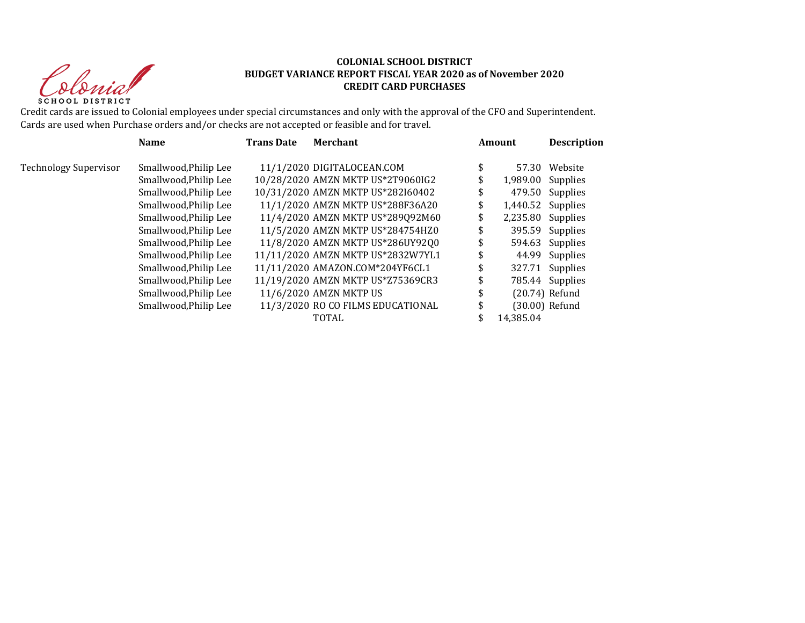Sprist **SCHOOL DISTRICT** 

#### **COLONIAL SCHOOL DISTRICT BUDGET VARIANCE REPORT FISCAL YEAR 2020 as of November 2020 CREDIT CARD PURCHASES**

Credit cards are issued to Colonial employees under special circumstances and only with the approval of the CFO and Superintendent. Cards are used when Purchase orders and/or checks are not accepted or feasible and for travel.

|                              | <b>Name</b>           | <b>Trans Date</b> | <b>Merchant</b>                   | Amount              | <b>Description</b> |
|------------------------------|-----------------------|-------------------|-----------------------------------|---------------------|--------------------|
| <b>Technology Supervisor</b> | Smallwood, Philip Lee |                   | 11/1/2020 DIGITALOCEAN.COM        | \$<br>57.30         | Website            |
|                              | Smallwood, Philip Lee |                   | 10/28/2020 AMZN MKTP US*2T9060IG2 | $1,989.00$ Supplies |                    |
|                              | Smallwood, Philip Lee |                   | 10/31/2020 AMZN MKTP US*282I60402 |                     | 479.50 Supplies    |
|                              | Smallwood, Philip Lee |                   | 11/1/2020 AMZN MKTP US*288F36A20  | \$                  | 1,440.52 Supplies  |
|                              | Smallwood, Philip Lee |                   | 11/4/2020 AMZN MKTP US*289Q92M60  |                     | 2,235.80 Supplies  |
|                              | Smallwood, Philip Lee |                   | 11/5/2020 AMZN MKTP US*284754HZ0  |                     | 395.59 Supplies    |
|                              | Smallwood, Philip Lee |                   | 11/8/2020 AMZN MKTP US*286UY92Q0  |                     | 594.63 Supplies    |
|                              | Smallwood, Philip Lee |                   | 11/11/2020 AMZN MKTP US*2832W7YL1 |                     | 44.99 Supplies     |
|                              | Smallwood, Philip Lee |                   | 11/11/2020 AMAZON.COM*204YF6CL1   |                     | 327.71 Supplies    |
|                              | Smallwood, Philip Lee |                   | 11/19/2020 AMZN MKTP US*Z75369CR3 |                     | 785.44 Supplies    |
|                              | Smallwood, Philip Lee |                   | 11/6/2020 AMZN MKTP US            |                     | $(20.74)$ Refund   |
|                              | Smallwood, Philip Lee |                   | 11/3/2020 RO CO FILMS EDUCATIONAL |                     | (30.00) Refund     |
|                              |                       |                   | TOTAL                             | 14,385.04           |                    |